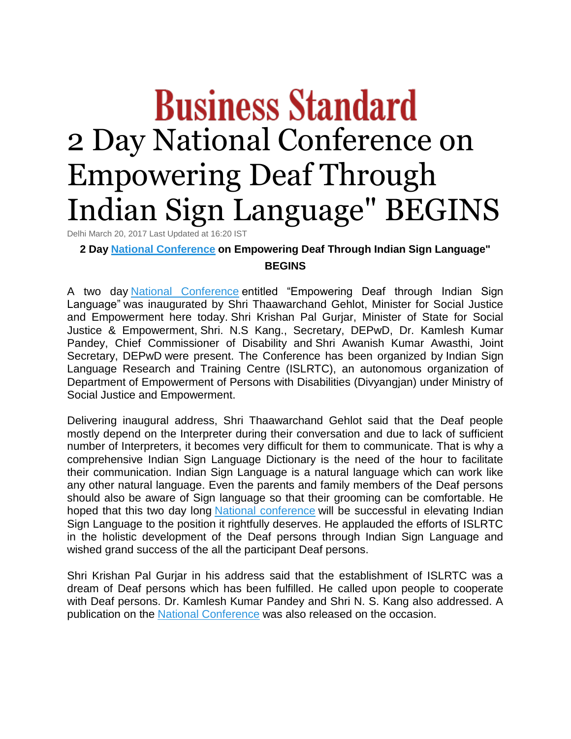## **Business Standard** 2 Day National Conference on Empowering Deaf Through Indian Sign Language" BEGINS

Delhi March 20, 2017 Last Updated at 16:20 IST

**2 Day [National Conference](http://www.business-standard.com/search?type=news&q=National+Conference) on Empowering Deaf Through Indian Sign Language" BEGINS**

A two day [National Conference](http://www.business-standard.com/search?type=news&q=National+Conference) entitled "Empowering Deaf through Indian Sign Language" was inaugurated by Shri Thaawarchand Gehlot, Minister for Social Justice and Empowerment here today. Shri Krishan Pal Gurjar, Minister of State for Social Justice & Empowerment, Shri. N.S Kang., Secretary, DEPwD, Dr. Kamlesh Kumar Pandey, Chief Commissioner of Disability and Shri Awanish Kumar Awasthi, Joint Secretary, DEPwD were present. The Conference has been organized by Indian Sign Language Research and Training Centre (ISLRTC), an autonomous organization of Department of Empowerment of Persons with Disabilities (Divyangjan) under Ministry of Social Justice and Empowerment.

Delivering inaugural address, Shri Thaawarchand Gehlot said that the Deaf people mostly depend on the Interpreter during their conversation and due to lack of sufficient number of Interpreters, it becomes very difficult for them to communicate. That is why a comprehensive Indian Sign Language Dictionary is the need of the hour to facilitate their communication. Indian Sign Language is a natural language which can work like any other natural language. Even the parents and family members of the Deaf persons should also be aware of Sign language so that their grooming can be comfortable. He hoped that this two day long [National conference](http://www.business-standard.com/search?type=news&q=National+Conference) will be successful in elevating Indian Sign Language to the position it rightfully deserves. He applauded the efforts of ISLRTC in the holistic development of the Deaf persons through Indian Sign Language and wished grand success of the all the participant Deaf persons.

Shri Krishan Pal Gurjar in his address said that the establishment of ISLRTC was a dream of Deaf persons which has been fulfilled. He called upon people to cooperate with Deaf persons. Dr. Kamlesh Kumar Pandey and Shri N. S. Kang also addressed. A publication on the [National Conference](http://www.business-standard.com/search?type=news&q=National+Conference) was also released on the occasion.